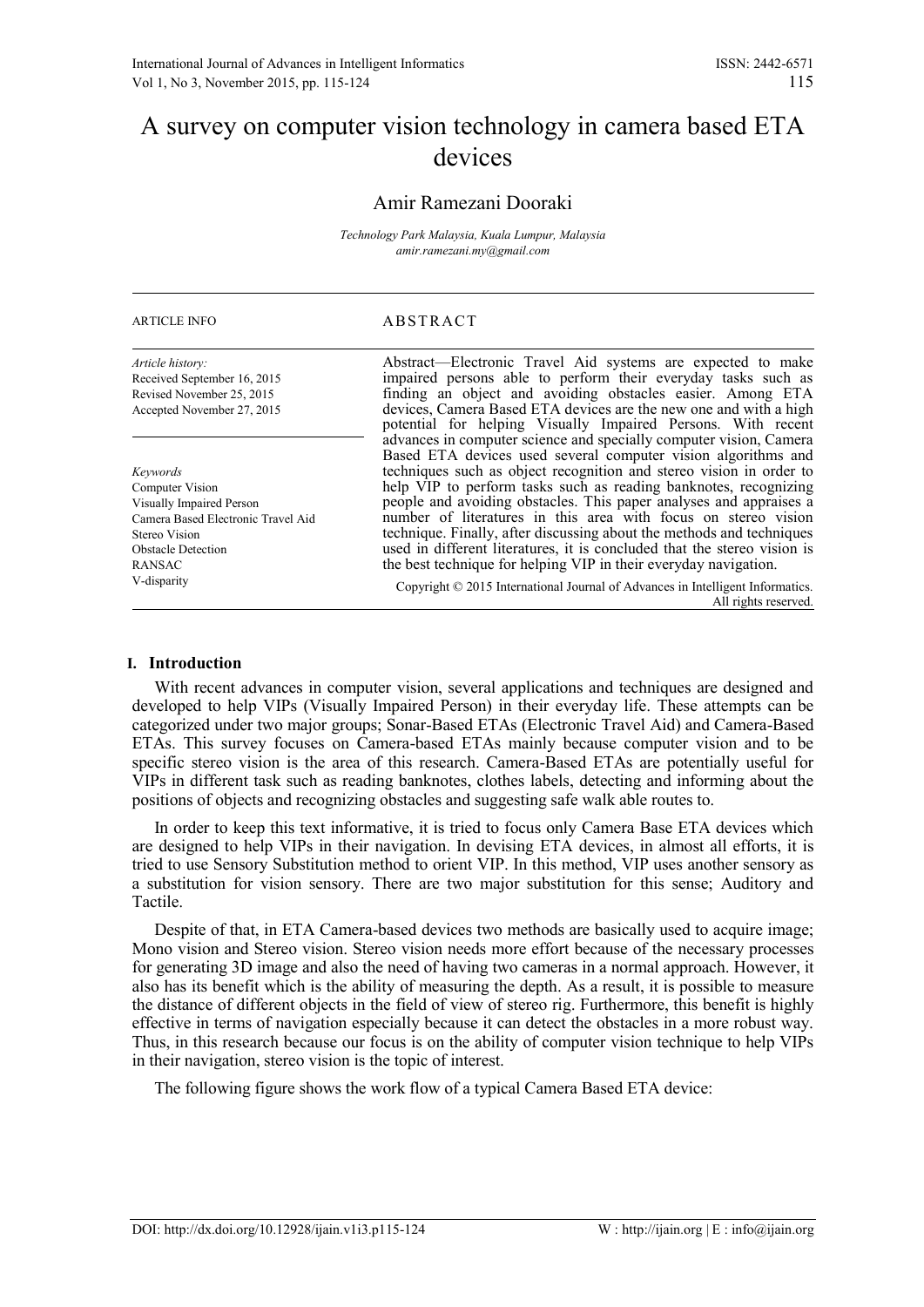# A survey on computer vision technology in camera based ETA devices

# Amir Ramezani Dooraki

*Technology Park Malaysia, Kuala Lumpur, Malaysia amir.ramezani.my@gmail.com*

## ARTICLE INFO ABSTRACT

| Article history:            |
|-----------------------------|
| Received September 16, 2015 |
| Revised November 25, 2015   |
| Accepted November 27, 2015  |

*Keywords* Computer Vision Visually Impaired Person Camera Based Electronic Travel Aid Stereo Vision Obstacle Detection RANSAC V-disparity

Abstract—Electronic Travel Aid systems are expected to make impaired persons able to perform their everyday tasks such as finding an object and avoiding obstacles easier. Among ETA devices, Camera Based ETA devices are the new one and with a high potential for helping Visually Impaired Persons. With recent advances in computer science and specially computer vision, Camera Based ETA devices used several computer vision algorithms and techniques such as object recognition and stereo vision in order to help VIP to perform tasks such as reading banknotes, recognizing people and avoiding obstacles. This paper analyses and appraises a number of literatures in this area with focus on stereo vision technique. Finally, after discussing about the methods and techniques used in different literatures, it is concluded that the stereo vision is the best technique for helping VIP in their everyday navigation.

Copyright © 2015 International Journal of Advances in Intelligent Informatics. All rights reserved.

### **I. Introduction**

With recent advances in computer vision, several applications and techniques are designed and developed to help VIPs (Visually Impaired Person) in their everyday life. These attempts can be categorized under two major groups; Sonar-Based ETAs (Electronic Travel Aid) and Camera-Based ETAs. This survey focuses on Camera-based ETAs mainly because computer vision and to be specific stereo vision is the area of this research. Camera-Based ETAs are potentially useful for VIPs in different task such as reading banknotes, clothes labels, detecting and informing about the positions of objects and recognizing obstacles and suggesting safe walk able routes to.

In order to keep this text informative, it is tried to focus only Camera Base ETA devices which are designed to help VIPs in their navigation. In devising ETA devices, in almost all efforts, it is tried to use Sensory Substitution method to orient VIP. In this method, VIP uses another sensory as a substitution for vision sensory. There are two major substitution for this sense; Auditory and Tactile.

Despite of that, in ETA Camera-based devices two methods are basically used to acquire image; Mono vision and Stereo vision. Stereo vision needs more effort because of the necessary processes for generating 3D image and also the need of having two cameras in a normal approach. However, it also has its benefit which is the ability of measuring the depth. As a result, it is possible to measure the distance of different objects in the field of view of stereo rig. Furthermore, this benefit is highly effective in terms of navigation especially because it can detect the obstacles in a more robust way. Thus, in this research because our focus is on the ability of computer vision technique to help VIPs in their navigation, stereo vision is the topic of interest.

The following figure shows the work flow of a typical Camera Based ETA device: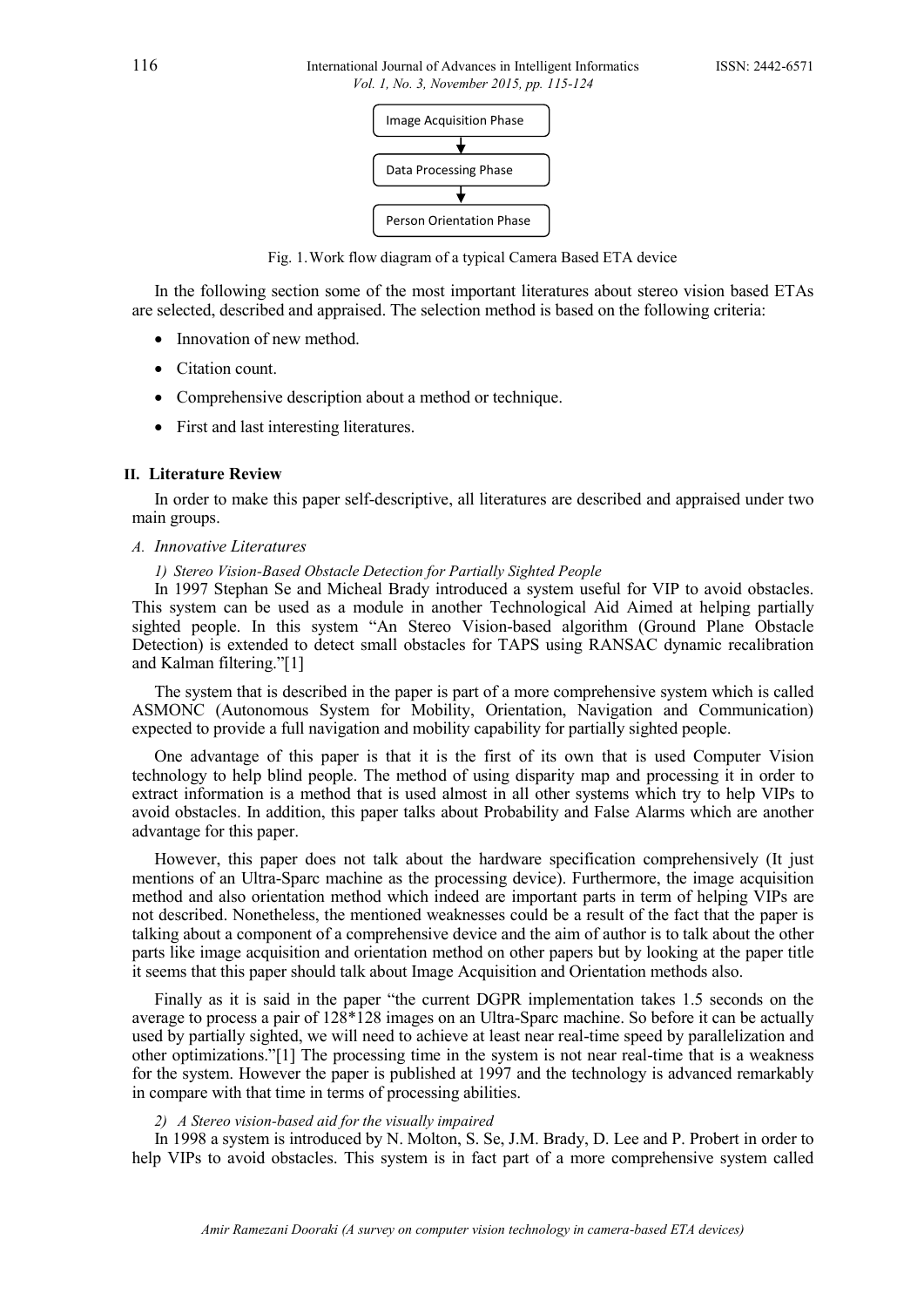

Fig. 1.Work flow diagram of a typical Camera Based ETA device

In the following section some of the most important literatures about stereo vision based ETAs are selected, described and appraised. The selection method is based on the following criteria:

- Innovation of new method.
- Citation count.
- Comprehensive description about a method or technique.
- First and last interesting literatures.

### **II. Literature Review**

In order to make this paper self-descriptive, all literatures are described and appraised under two main groups.

- *A. Innovative Literatures* 
	- *1) Stereo Vision-Based Obstacle Detection for Partially Sighted People*

In 1997 Stephan Se and Micheal Brady introduced a system useful for VIP to avoid obstacles. This system can be used as a module in another Technological Aid Aimed at helping partially sighted people. In this system "An Stereo Vision-based algorithm (Ground Plane Obstacle Detection) is extended to detect small obstacles for TAPS using RANSAC dynamic recalibration and Kalman filtering."[1]

The system that is described in the paper is part of a more comprehensive system which is called ASMONC (Autonomous System for Mobility, Orientation, Navigation and Communication) expected to provide a full navigation and mobility capability for partially sighted people.

One advantage of this paper is that it is the first of its own that is used Computer Vision technology to help blind people. The method of using disparity map and processing it in order to extract information is a method that is used almost in all other systems which try to help VIPs to avoid obstacles. In addition, this paper talks about Probability and False Alarms which are another advantage for this paper.

However, this paper does not talk about the hardware specification comprehensively (It just mentions of an Ultra-Sparc machine as the processing device). Furthermore, the image acquisition method and also orientation method which indeed are important parts in term of helping VIPs are not described. Nonetheless, the mentioned weaknesses could be a result of the fact that the paper is talking about a component of a comprehensive device and the aim of author is to talk about the other parts like image acquisition and orientation method on other papers but by looking at the paper title it seems that this paper should talk about Image Acquisition and Orientation methods also.

Finally as it is said in the paper "the current DGPR implementation takes 1.5 seconds on the average to process a pair of 128\*128 images on an Ultra-Sparc machine. So before it can be actually used by partially sighted, we will need to achieve at least near real-time speed by parallelization and other optimizations."[1] The processing time in the system is not near real-time that is a weakness for the system. However the paper is published at 1997 and the technology is advanced remarkably in compare with that time in terms of processing abilities.

*2) A Stereo vision-based aid for the visually impaired*

In 1998 a system is introduced by N. Molton, S. Se, J.M. Brady, D. Lee and P. Probert in order to help VIPs to avoid obstacles. This system is in fact part of a more comprehensive system called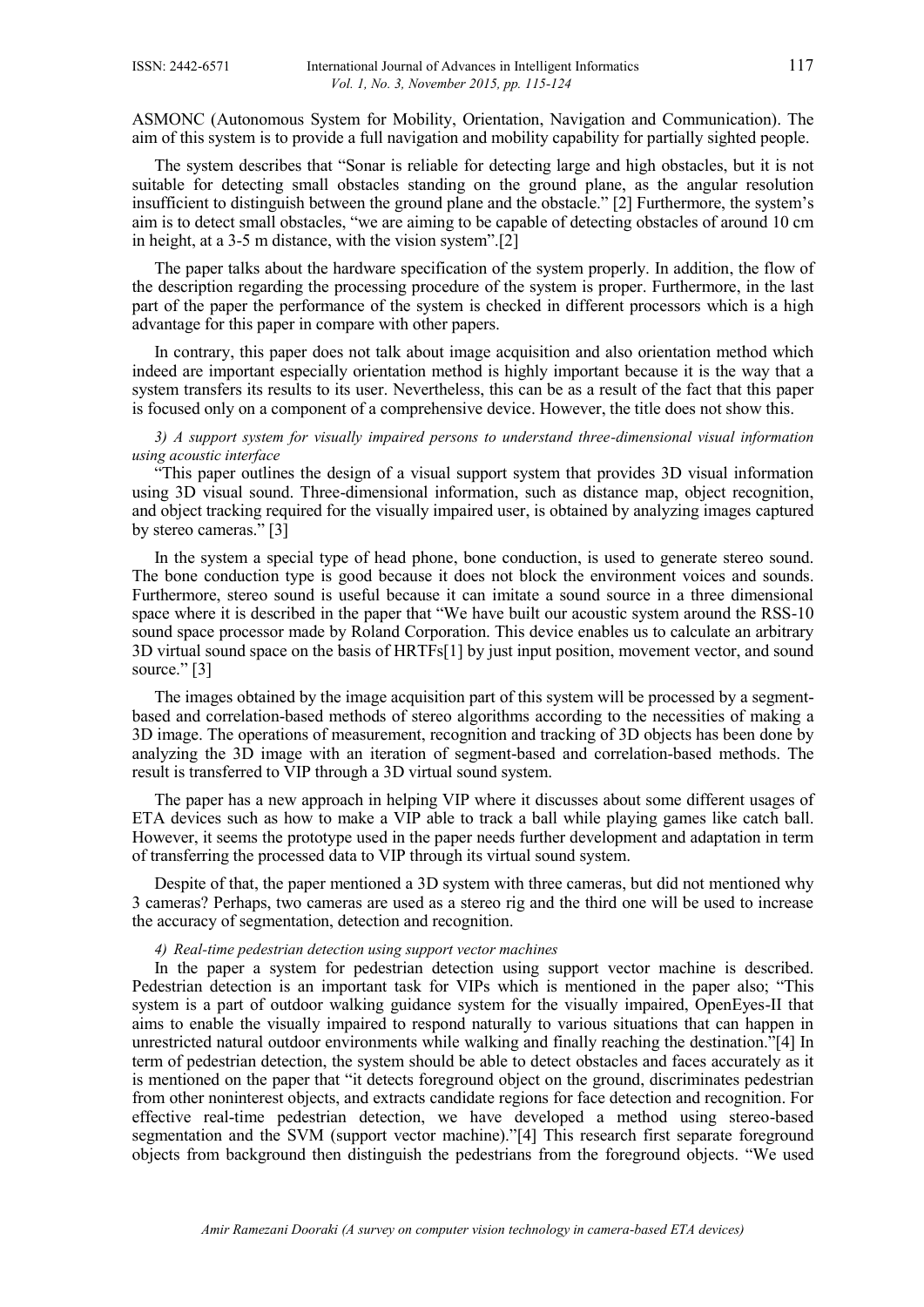ASMONC (Autonomous System for Mobility, Orientation, Navigation and Communication). The aim of this system is to provide a full navigation and mobility capability for partially sighted people.

The system describes that "Sonar is reliable for detecting large and high obstacles, but it is not suitable for detecting small obstacles standing on the ground plane, as the angular resolution insufficient to distinguish between the ground plane and the obstacle." [2] Furthermore, the system's aim is to detect small obstacles, "we are aiming to be capable of detecting obstacles of around 10 cm in height, at a 3-5 m distance, with the vision system".[2]

The paper talks about the hardware specification of the system properly. In addition, the flow of the description regarding the processing procedure of the system is proper. Furthermore, in the last part of the paper the performance of the system is checked in different processors which is a high advantage for this paper in compare with other papers.

In contrary, this paper does not talk about image acquisition and also orientation method which indeed are important especially orientation method is highly important because it is the way that a system transfers its results to its user. Nevertheless, this can be as a result of the fact that this paper is focused only on a component of a comprehensive device. However, the title does not show this.

*3) A support system for visually impaired persons to understand three-dimensional visual information using acoustic interface*

"This paper outlines the design of a visual support system that provides 3D visual information using 3D visual sound. Three-dimensional information, such as distance map, object recognition, and object tracking required for the visually impaired user, is obtained by analyzing images captured by stereo cameras." [3]

In the system a special type of head phone, bone conduction, is used to generate stereo sound. The bone conduction type is good because it does not block the environment voices and sounds. Furthermore, stereo sound is useful because it can imitate a sound source in a three dimensional space where it is described in the paper that "We have built our acoustic system around the RSS-10 sound space processor made by Roland Corporation. This device enables us to calculate an arbitrary 3D virtual sound space on the basis of HRTFs[1] by just input position, movement vector, and sound source." [3]

The images obtained by the image acquisition part of this system will be processed by a segmentbased and correlation-based methods of stereo algorithms according to the necessities of making a 3D image. The operations of measurement, recognition and tracking of 3D objects has been done by analyzing the 3D image with an iteration of segment-based and correlation-based methods. The result is transferred to VIP through a 3D virtual sound system.

The paper has a new approach in helping VIP where it discusses about some different usages of ETA devices such as how to make a VIP able to track a ball while playing games like catch ball. However, it seems the prototype used in the paper needs further development and adaptation in term of transferring the processed data to VIP through its virtual sound system.

Despite of that, the paper mentioned a 3D system with three cameras, but did not mentioned why 3 cameras? Perhaps, two cameras are used as a stereo rig and the third one will be used to increase the accuracy of segmentation, detection and recognition.

#### *4) Real-time pedestrian detection using support vector machines*

In the paper a system for pedestrian detection using support vector machine is described. Pedestrian detection is an important task for VIPs which is mentioned in the paper also; "This system is a part of outdoor walking guidance system for the visually impaired, OpenEyes-II that aims to enable the visually impaired to respond naturally to various situations that can happen in unrestricted natural outdoor environments while walking and finally reaching the destination."[4] In term of pedestrian detection, the system should be able to detect obstacles and faces accurately as it is mentioned on the paper that "it detects foreground object on the ground, discriminates pedestrian from other noninterest objects, and extracts candidate regions for face detection and recognition. For effective real-time pedestrian detection, we have developed a method using stereo-based segmentation and the SVM (support vector machine)."[4] This research first separate foreground objects from background then distinguish the pedestrians from the foreground objects. "We used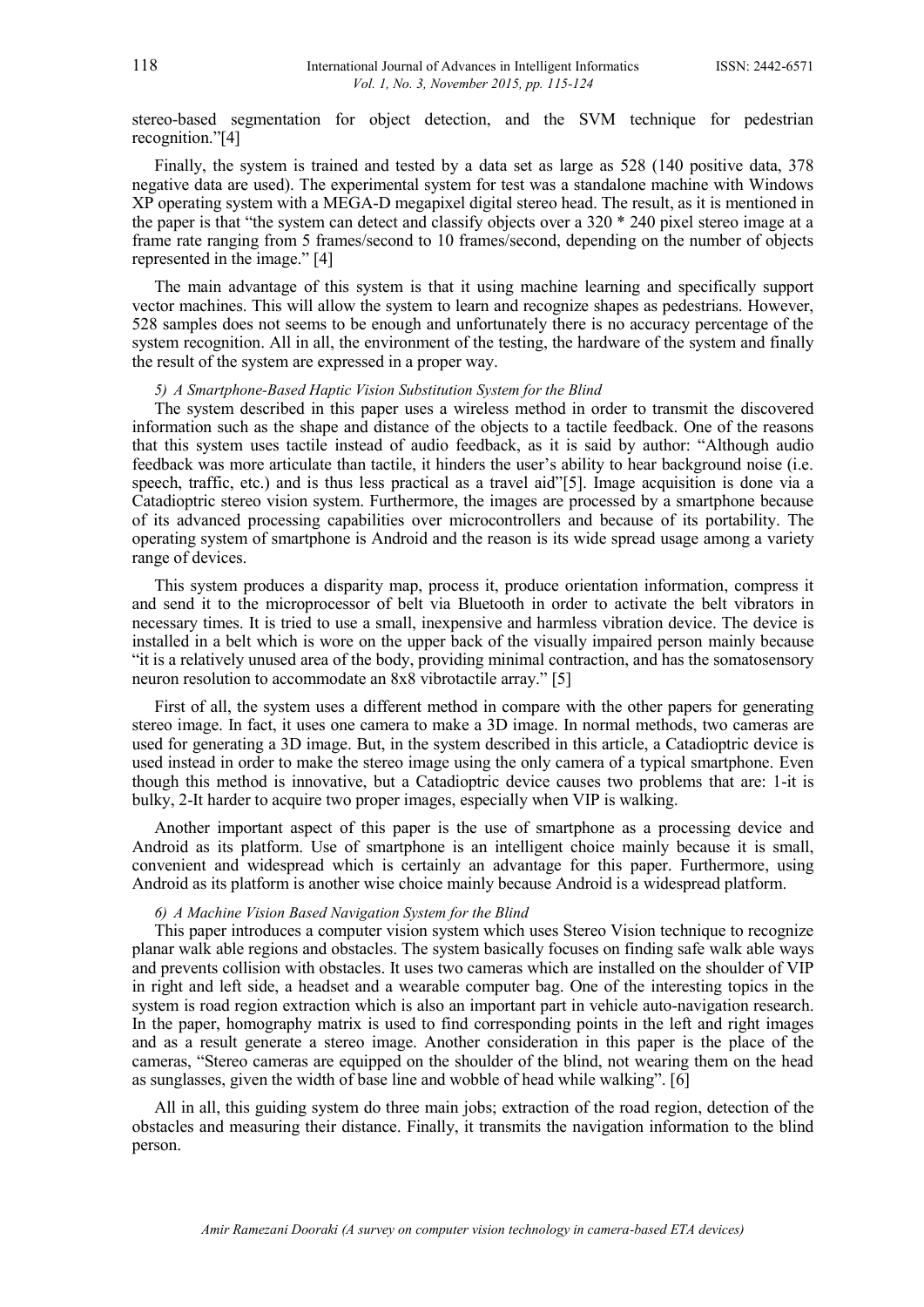stereo-based segmentation for object detection, and the SVM technique for pedestrian recognition."[4]

Finally, the system is trained and tested by a data set as large as 528 (140 positive data, 378 negative data are used). The experimental system for test was a standalone machine with Windows XP operating system with a MEGA-D megapixel digital stereo head. The result, as it is mentioned in the paper is that "the system can detect and classify objects over a 320 \* 240 pixel stereo image at a frame rate ranging from 5 frames/second to 10 frames/second, depending on the number of objects represented in the image." [4]

The main advantage of this system is that it using machine learning and specifically support vector machines. This will allow the system to learn and recognize shapes as pedestrians. However, 528 samples does not seems to be enough and unfortunately there is no accuracy percentage of the system recognition. All in all, the environment of the testing, the hardware of the system and finally the result of the system are expressed in a proper way.

#### *5) A Smartphone-Based Haptic Vision Substitution System for the Blind*

The system described in this paper uses a wireless method in order to transmit the discovered information such as the shape and distance of the objects to a tactile feedback. One of the reasons that this system uses tactile instead of audio feedback, as it is said by author: "Although audio feedback was more articulate than tactile, it hinders the user's ability to hear background noise (i.e. speech, traffic, etc.) and is thus less practical as a travel aid"[5]. Image acquisition is done via a Catadioptric stereo vision system. Furthermore, the images are processed by a smartphone because of its advanced processing capabilities over microcontrollers and because of its portability. The operating system of smartphone is Android and the reason is its wide spread usage among a variety range of devices.

This system produces a disparity map, process it, produce orientation information, compress it and send it to the microprocessor of belt via Bluetooth in order to activate the belt vibrators in necessary times. It is tried to use a small, inexpensive and harmless vibration device. The device is installed in a belt which is wore on the upper back of the visually impaired person mainly because "it is a relatively unused area of the body, providing minimal contraction, and has the somatosensory neuron resolution to accommodate an 8x8 vibrotactile array." [5]

First of all, the system uses a different method in compare with the other papers for generating stereo image. In fact, it uses one camera to make a 3D image. In normal methods, two cameras are used for generating a 3D image. But, in the system described in this article, a Catadioptric device is used instead in order to make the stereo image using the only camera of a typical smartphone. Even though this method is innovative, but a Catadioptric device causes two problems that are: 1-it is bulky, 2-It harder to acquire two proper images, especially when VIP is walking.

Another important aspect of this paper is the use of smartphone as a processing device and Android as its platform. Use of smartphone is an intelligent choice mainly because it is small, convenient and widespread which is certainly an advantage for this paper. Furthermore, using Android as its platform is another wise choice mainly because Android is a widespread platform.

#### *6) A Machine Vision Based Navigation System for the Blind*

This paper introduces a computer vision system which uses Stereo Vision technique to recognize planar walk able regions and obstacles. The system basically focuses on finding safe walk able ways and prevents collision with obstacles. It uses two cameras which are installed on the shoulder of VIP in right and left side, a headset and a wearable computer bag. One of the interesting topics in the system is road region extraction which is also an important part in vehicle auto-navigation research. In the paper, homography matrix is used to find corresponding points in the left and right images and as a result generate a stereo image. Another consideration in this paper is the place of the cameras, "Stereo cameras are equipped on the shoulder of the blind, not wearing them on the head as sunglasses, given the width of base line and wobble of head while walking". [6]

All in all, this guiding system do three main jobs; extraction of the road region, detection of the obstacles and measuring their distance. Finally, it transmits the navigation information to the blind person.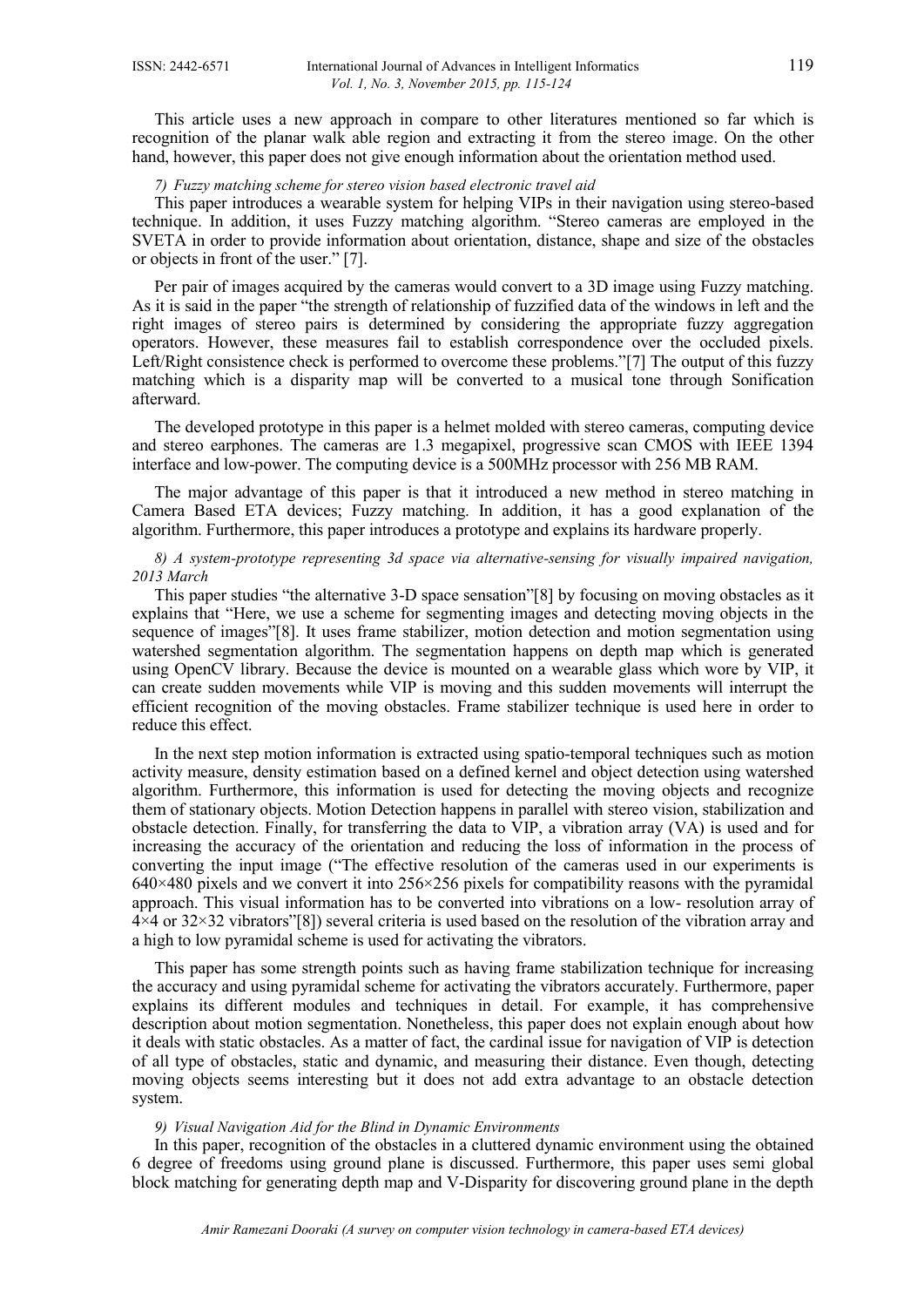This article uses a new approach in compare to other literatures mentioned so far which is recognition of the planar walk able region and extracting it from the stereo image. On the other hand, however, this paper does not give enough information about the orientation method used.

### *7) Fuzzy matching scheme for stereo vision based electronic travel aid*

This paper introduces a wearable system for helping VIPs in their navigation using stereo-based technique. In addition, it uses Fuzzy matching algorithm. "Stereo cameras are employed in the SVETA in order to provide information about orientation, distance, shape and size of the obstacles or objects in front of the user." [7].

Per pair of images acquired by the cameras would convert to a 3D image using Fuzzy matching. As it is said in the paper "the strength of relationship of fuzzified data of the windows in left and the right images of stereo pairs is determined by considering the appropriate fuzzy aggregation operators. However, these measures fail to establish correspondence over the occluded pixels. Left/Right consistence check is performed to overcome these problems."[7] The output of this fuzzy matching which is a disparity map will be converted to a musical tone through Sonification afterward.

The developed prototype in this paper is a helmet molded with stereo cameras, computing device and stereo earphones. The cameras are 1.3 megapixel, progressive scan CMOS with IEEE 1394 interface and low-power. The computing device is a 500MHz processor with 256 MB RAM.

The major advantage of this paper is that it introduced a new method in stereo matching in Camera Based ETA devices; Fuzzy matching. In addition, it has a good explanation of the algorithm. Furthermore, this paper introduces a prototype and explains its hardware properly.

*8) A system-prototype representing 3d space via alternative-sensing for visually impaired navigation, 2013 March*

This paper studies "the alternative 3-D space sensation"[8] by focusing on moving obstacles as it explains that "Here, we use a scheme for segmenting images and detecting moving objects in the sequence of images"[8]. It uses frame stabilizer, motion detection and motion segmentation using watershed segmentation algorithm. The segmentation happens on depth map which is generated using OpenCV library. Because the device is mounted on a wearable glass which wore by VIP, it can create sudden movements while VIP is moving and this sudden movements will interrupt the efficient recognition of the moving obstacles. Frame stabilizer technique is used here in order to reduce this effect.

In the next step motion information is extracted using spatio-temporal techniques such as motion activity measure, density estimation based on a defined kernel and object detection using watershed algorithm. Furthermore, this information is used for detecting the moving objects and recognize them of stationary objects. Motion Detection happens in parallel with stereo vision, stabilization and obstacle detection. Finally, for transferring the data to VIP, a vibration array (VA) is used and for increasing the accuracy of the orientation and reducing the loss of information in the process of converting the input image ("The effective resolution of the cameras used in our experiments is  $640\times480$  pixels and we convert it into  $256\times256$  pixels for compatibility reasons with the pyramidal approach. This visual information has to be converted into vibrations on a low- resolution array of 4×4 or 32×32 vibrators"[8]) several criteria is used based on the resolution of the vibration array and a high to low pyramidal scheme is used for activating the vibrators.

This paper has some strength points such as having frame stabilization technique for increasing the accuracy and using pyramidal scheme for activating the vibrators accurately. Furthermore, paper explains its different modules and techniques in detail. For example, it has comprehensive description about motion segmentation. Nonetheless, this paper does not explain enough about how it deals with static obstacles. As a matter of fact, the cardinal issue for navigation of VIP is detection of all type of obstacles, static and dynamic, and measuring their distance. Even though, detecting moving objects seems interesting but it does not add extra advantage to an obstacle detection system.

#### *9) Visual Navigation Aid for the Blind in Dynamic Environments*

In this paper, recognition of the obstacles in a cluttered dynamic environment using the obtained 6 degree of freedoms using ground plane is discussed. Furthermore, this paper uses semi global block matching for generating depth map and V-Disparity for discovering ground plane in the depth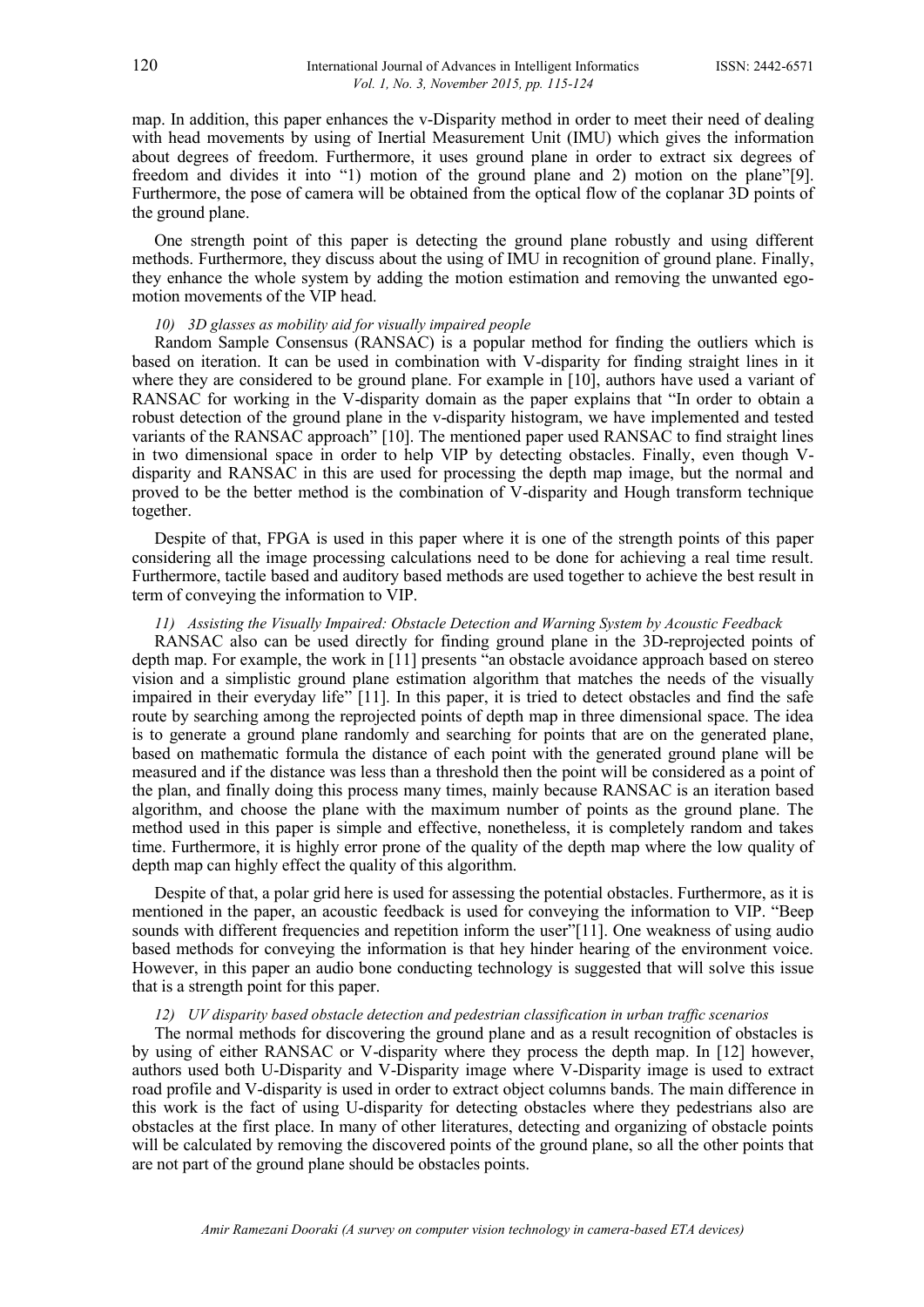map. In addition, this paper enhances the v-Disparity method in order to meet their need of dealing with head movements by using of Inertial Measurement Unit (IMU) which gives the information about degrees of freedom. Furthermore, it uses ground plane in order to extract six degrees of freedom and divides it into "1) motion of the ground plane and 2) motion on the plane"[9]. Furthermore, the pose of camera will be obtained from the optical flow of the coplanar 3D points of the ground plane.

One strength point of this paper is detecting the ground plane robustly and using different methods. Furthermore, they discuss about the using of IMU in recognition of ground plane. Finally, they enhance the whole system by adding the motion estimation and removing the unwanted egomotion movements of the VIP head.

#### *10) 3D glasses as mobility aid for visually impaired people*

Random Sample Consensus (RANSAC) is a popular method for finding the outliers which is based on iteration. It can be used in combination with V-disparity for finding straight lines in it where they are considered to be ground plane. For example in [10], authors have used a variant of RANSAC for working in the V-disparity domain as the paper explains that "In order to obtain a robust detection of the ground plane in the v-disparity histogram, we have implemented and tested variants of the RANSAC approach" [10]. The mentioned paper used RANSAC to find straight lines in two dimensional space in order to help VIP by detecting obstacles. Finally, even though Vdisparity and RANSAC in this are used for processing the depth map image, but the normal and proved to be the better method is the combination of V-disparity and Hough transform technique together.

Despite of that, FPGA is used in this paper where it is one of the strength points of this paper considering all the image processing calculations need to be done for achieving a real time result. Furthermore, tactile based and auditory based methods are used together to achieve the best result in term of conveying the information to VIP.

#### *11) Assisting the Visually Impaired: Obstacle Detection and Warning System by Acoustic Feedback*

RANSAC also can be used directly for finding ground plane in the 3D-reprojected points of depth map. For example, the work in [11] presents "an obstacle avoidance approach based on stereo vision and a simplistic ground plane estimation algorithm that matches the needs of the visually impaired in their everyday life" [11]. In this paper, it is tried to detect obstacles and find the safe route by searching among the reprojected points of depth map in three dimensional space. The idea is to generate a ground plane randomly and searching for points that are on the generated plane, based on mathematic formula the distance of each point with the generated ground plane will be measured and if the distance was less than a threshold then the point will be considered as a point of the plan, and finally doing this process many times, mainly because RANSAC is an iteration based algorithm, and choose the plane with the maximum number of points as the ground plane. The method used in this paper is simple and effective, nonetheless, it is completely random and takes time. Furthermore, it is highly error prone of the quality of the depth map where the low quality of depth map can highly effect the quality of this algorithm.

Despite of that, a polar grid here is used for assessing the potential obstacles. Furthermore, as it is mentioned in the paper, an acoustic feedback is used for conveying the information to VIP. "Beep sounds with different frequencies and repetition inform the user"[11]. One weakness of using audio based methods for conveying the information is that hey hinder hearing of the environment voice. However, in this paper an audio bone conducting technology is suggested that will solve this issue that is a strength point for this paper.

#### *12) UV disparity based obstacle detection and pedestrian classification in urban traffic scenarios*

The normal methods for discovering the ground plane and as a result recognition of obstacles is by using of either RANSAC or V-disparity where they process the depth map. In [12] however, authors used both U-Disparity and V-Disparity image where V-Disparity image is used to extract road profile and V-disparity is used in order to extract object columns bands. The main difference in this work is the fact of using U-disparity for detecting obstacles where they pedestrians also are obstacles at the first place. In many of other literatures, detecting and organizing of obstacle points will be calculated by removing the discovered points of the ground plane, so all the other points that are not part of the ground plane should be obstacles points.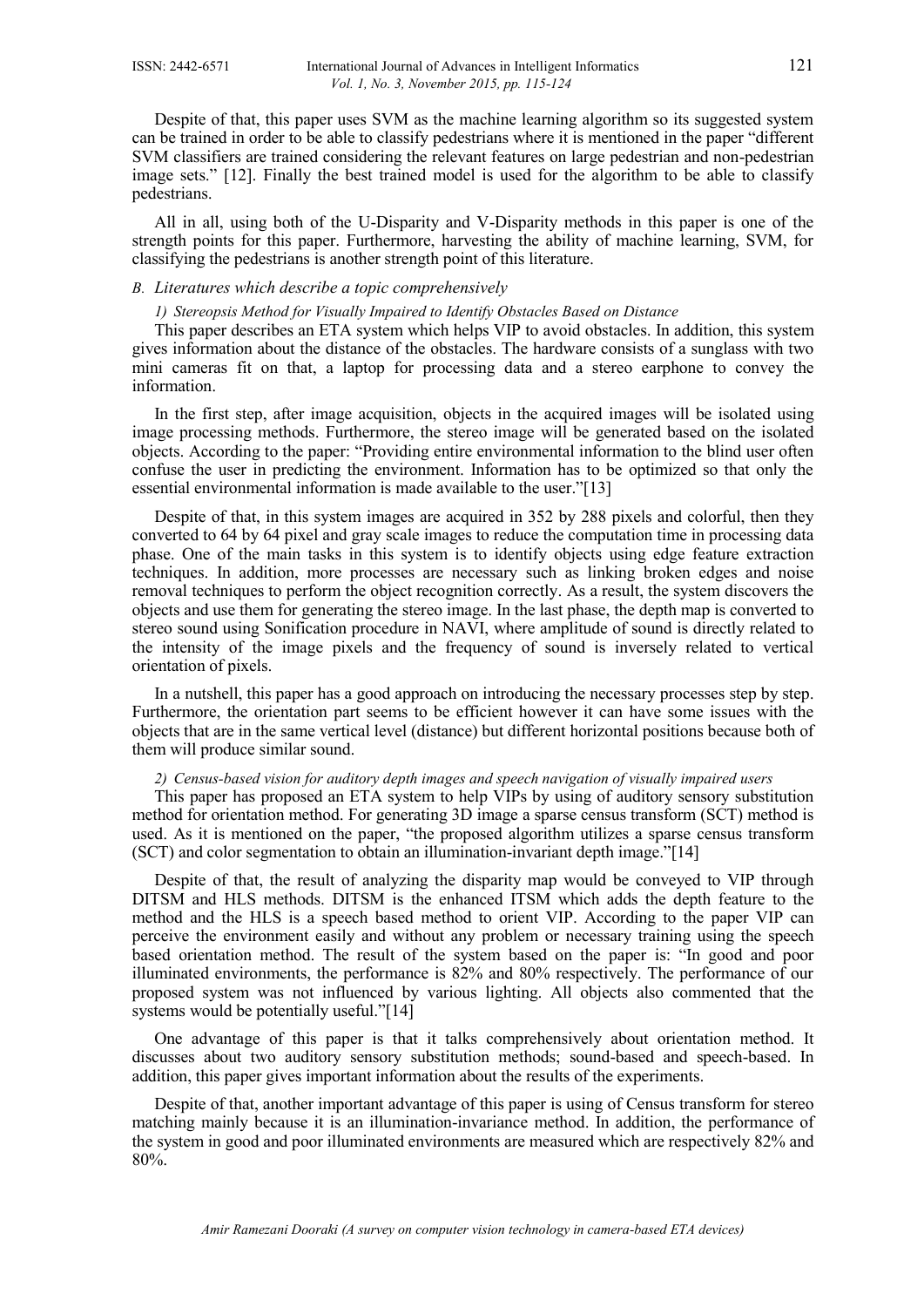Despite of that, this paper uses SVM as the machine learning algorithm so its suggested system can be trained in order to be able to classify pedestrians where it is mentioned in the paper "different SVM classifiers are trained considering the relevant features on large pedestrian and non-pedestrian image sets." [12]. Finally the best trained model is used for the algorithm to be able to classify pedestrians.

All in all, using both of the U-Disparity and V-Disparity methods in this paper is one of the strength points for this paper. Furthermore, harvesting the ability of machine learning, SVM, for classifying the pedestrians is another strength point of this literature.

#### *B. Literatures which describe a topic comprehensively*

#### *1) Stereopsis Method for Visually Impaired to Identify Obstacles Based on Distance*

This paper describes an ETA system which helps VIP to avoid obstacles. In addition, this system gives information about the distance of the obstacles. The hardware consists of a sunglass with two mini cameras fit on that, a laptop for processing data and a stereo earphone to convey the information.

In the first step, after image acquisition, objects in the acquired images will be isolated using image processing methods. Furthermore, the stereo image will be generated based on the isolated objects. According to the paper: "Providing entire environmental information to the blind user often confuse the user in predicting the environment. Information has to be optimized so that only the essential environmental information is made available to the user."[13]

Despite of that, in this system images are acquired in 352 by 288 pixels and colorful, then they converted to 64 by 64 pixel and gray scale images to reduce the computation time in processing data phase. One of the main tasks in this system is to identify objects using edge feature extraction techniques. In addition, more processes are necessary such as linking broken edges and noise removal techniques to perform the object recognition correctly. As a result, the system discovers the objects and use them for generating the stereo image. In the last phase, the depth map is converted to stereo sound using Sonification procedure in NAVI, where amplitude of sound is directly related to the intensity of the image pixels and the frequency of sound is inversely related to vertical orientation of pixels.

In a nutshell, this paper has a good approach on introducing the necessary processes step by step. Furthermore, the orientation part seems to be efficient however it can have some issues with the objects that are in the same vertical level (distance) but different horizontal positions because both of them will produce similar sound.

#### *2) Census-based vision for auditory depth images and speech navigation of visually impaired users*

This paper has proposed an ETA system to help VIPs by using of auditory sensory substitution method for orientation method. For generating 3D image a sparse census transform (SCT) method is used. As it is mentioned on the paper, "the proposed algorithm utilizes a sparse census transform (SCT) and color segmentation to obtain an illumination-invariant depth image."[14]

Despite of that, the result of analyzing the disparity map would be conveyed to VIP through DITSM and HLS methods. DITSM is the enhanced ITSM which adds the depth feature to the method and the HLS is a speech based method to orient VIP. According to the paper VIP can perceive the environment easily and without any problem or necessary training using the speech based orientation method. The result of the system based on the paper is: "In good and poor illuminated environments, the performance is 82% and 80% respectively. The performance of our proposed system was not influenced by various lighting. All objects also commented that the systems would be potentially useful."[14]

One advantage of this paper is that it talks comprehensively about orientation method. It discusses about two auditory sensory substitution methods; sound-based and speech-based. In addition, this paper gives important information about the results of the experiments.

Despite of that, another important advantage of this paper is using of Census transform for stereo matching mainly because it is an illumination-invariance method. In addition, the performance of the system in good and poor illuminated environments are measured which are respectively 82% and 80%.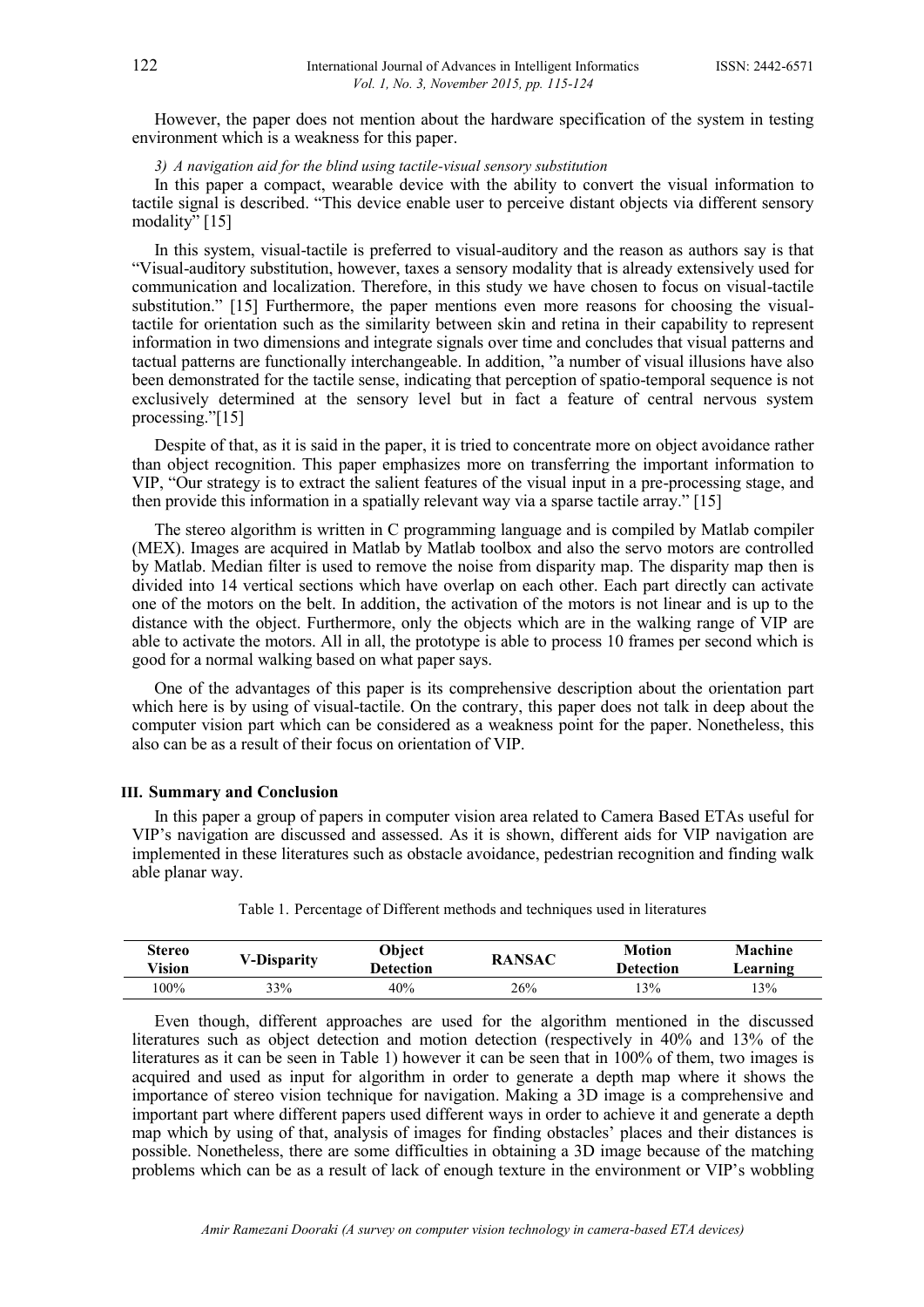However, the paper does not mention about the hardware specification of the system in testing environment which is a weakness for this paper.

#### *3) A navigation aid for the blind using tactile-visual sensory substitution*

In this paper a compact, wearable device with the ability to convert the visual information to tactile signal is described. "This device enable user to perceive distant objects via different sensory modality" [15]

In this system, visual-tactile is preferred to visual-auditory and the reason as authors say is that "Visual-auditory substitution, however, taxes a sensory modality that is already extensively used for communication and localization. Therefore, in this study we have chosen to focus on visual-tactile substitution." [15] Furthermore, the paper mentions even more reasons for choosing the visualtactile for orientation such as the similarity between skin and retina in their capability to represent information in two dimensions and integrate signals over time and concludes that visual patterns and tactual patterns are functionally interchangeable. In addition, "a number of visual illusions have also been demonstrated for the tactile sense, indicating that perception of spatio-temporal sequence is not exclusively determined at the sensory level but in fact a feature of central nervous system processing."[15]

Despite of that, as it is said in the paper, it is tried to concentrate more on object avoidance rather than object recognition. This paper emphasizes more on transferring the important information to VIP, "Our strategy is to extract the salient features of the visual input in a pre-processing stage, and then provide this information in a spatially relevant way via a sparse tactile array." [15]

The stereo algorithm is written in C programming language and is compiled by Matlab compiler (MEX). Images are acquired in Matlab by Matlab toolbox and also the servo motors are controlled by Matlab. Median filter is used to remove the noise from disparity map. The disparity map then is divided into 14 vertical sections which have overlap on each other. Each part directly can activate one of the motors on the belt. In addition, the activation of the motors is not linear and is up to the distance with the object. Furthermore, only the objects which are in the walking range of VIP are able to activate the motors. All in all, the prototype is able to process 10 frames per second which is good for a normal walking based on what paper says.

One of the advantages of this paper is its comprehensive description about the orientation part which here is by using of visual-tactile. On the contrary, this paper does not talk in deep about the computer vision part which can be considered as a weakness point for the paper. Nonetheless, this also can be as a result of their focus on orientation of VIP.

#### **III. Summary and Conclusion**

In this paper a group of papers in computer vision area related to Camera Based ETAs useful for VIP's navigation are discussed and assessed. As it is shown, different aids for VIP navigation are implemented in these literatures such as obstacle avoidance, pedestrian recognition and finding walk able planar way.

| Stereo<br>Vision | V-Disparity | Obiect<br>Detection | <b>RANSAC</b> | Motion<br><b>Detection</b> | Machine<br>Learning |
|------------------|-------------|---------------------|---------------|----------------------------|---------------------|
| 100%             | 33%         | 40%                 | 26%           | 13%                        | 13%                 |

Table 1. Percentage of Different methods and techniques used in literatures

Even though, different approaches are used for the algorithm mentioned in the discussed literatures such as object detection and motion detection (respectively in 40% and 13% of the literatures as it can be seen in Table 1) however it can be seen that in 100% of them, two images is acquired and used as input for algorithm in order to generate a depth map where it shows the importance of stereo vision technique for navigation. Making a 3D image is a comprehensive and important part where different papers used different ways in order to achieve it and generate a depth map which by using of that, analysis of images for finding obstacles' places and their distances is possible. Nonetheless, there are some difficulties in obtaining a 3D image because of the matching problems which can be as a result of lack of enough texture in the environment or VIP's wobbling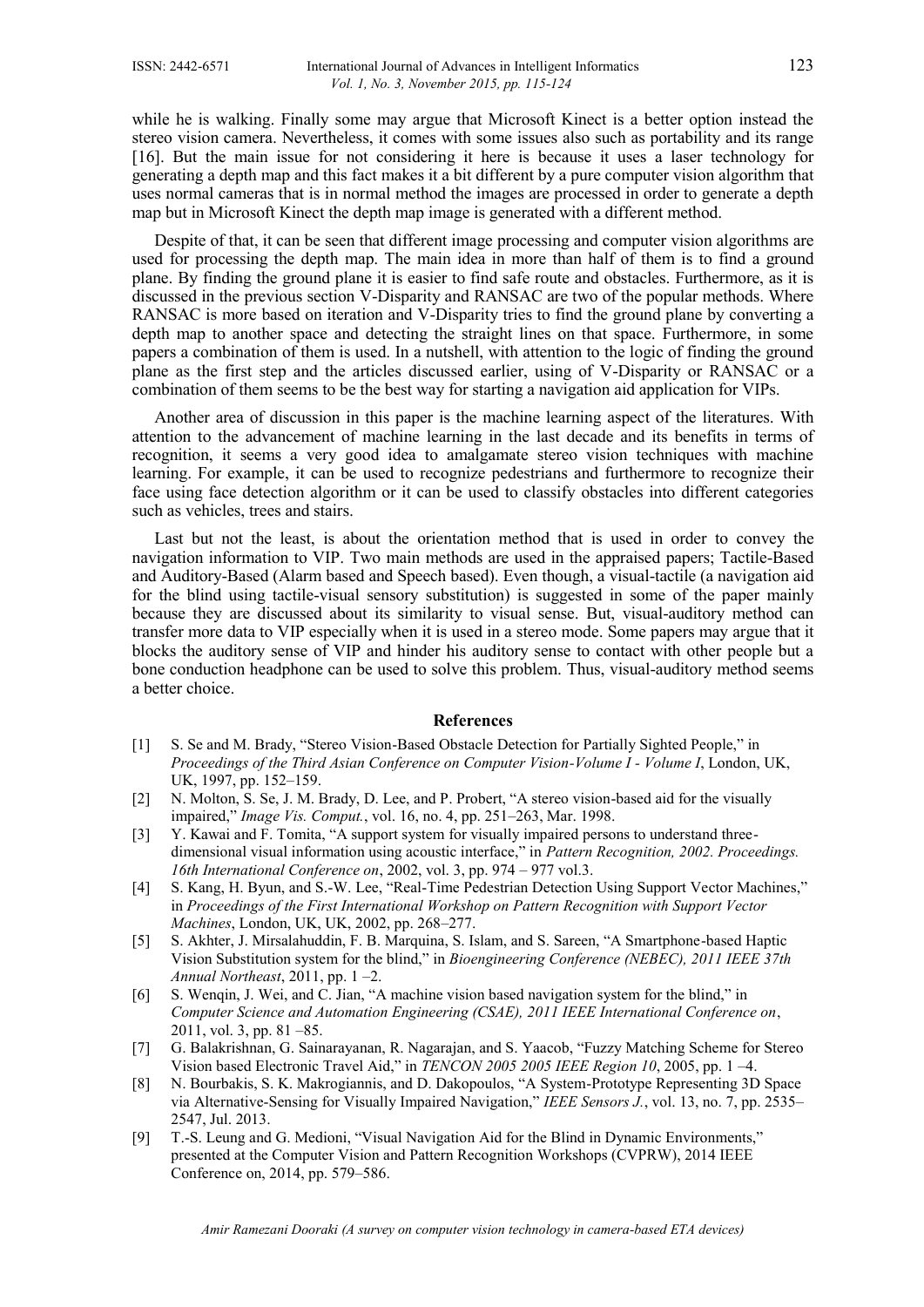while he is walking. Finally some may argue that Microsoft Kinect is a better option instead the stereo vision camera. Nevertheless, it comes with some issues also such as portability and its range [16]. But the main issue for not considering it here is because it uses a laser technology for generating a depth map and this fact makes it a bit different by a pure computer vision algorithm that uses normal cameras that is in normal method the images are processed in order to generate a depth map but in Microsoft Kinect the depth map image is generated with a different method.

Despite of that, it can be seen that different image processing and computer vision algorithms are used for processing the depth map. The main idea in more than half of them is to find a ground plane. By finding the ground plane it is easier to find safe route and obstacles. Furthermore, as it is discussed in the previous section V-Disparity and RANSAC are two of the popular methods. Where RANSAC is more based on iteration and V-Disparity tries to find the ground plane by converting a depth map to another space and detecting the straight lines on that space. Furthermore, in some papers a combination of them is used. In a nutshell, with attention to the logic of finding the ground plane as the first step and the articles discussed earlier, using of V-Disparity or RANSAC or a combination of them seems to be the best way for starting a navigation aid application for VIPs.

Another area of discussion in this paper is the machine learning aspect of the literatures. With attention to the advancement of machine learning in the last decade and its benefits in terms of recognition, it seems a very good idea to amalgamate stereo vision techniques with machine learning. For example, it can be used to recognize pedestrians and furthermore to recognize their face using face detection algorithm or it can be used to classify obstacles into different categories such as vehicles, trees and stairs.

Last but not the least, is about the orientation method that is used in order to convey the navigation information to VIP. Two main methods are used in the appraised papers; Tactile-Based and Auditory-Based (Alarm based and Speech based). Even though, a visual-tactile (a navigation aid for the blind using tactile-visual sensory substitution) is suggested in some of the paper mainly because they are discussed about its similarity to visual sense. But, visual-auditory method can transfer more data to VIP especially when it is used in a stereo mode. Some papers may argue that it blocks the auditory sense of VIP and hinder his auditory sense to contact with other people but a bone conduction headphone can be used to solve this problem. Thus, visual-auditory method seems a better choice.

### **References**

- [1] S. Se and M. Brady, "Stereo Vision-Based Obstacle Detection for Partially Sighted People," in *Proceedings of the Third Asian Conference on Computer Vision-Volume I - Volume I*, London, UK, UK, 1997, pp. 152–159.
- [2] N. Molton, S. Se, J. M. Brady, D. Lee, and P. Probert, "A stereo vision-based aid for the visually impaired," *Image Vis. Comput.*, vol. 16, no. 4, pp. 251–263, Mar. 1998.
- [3] Y. Kawai and F. Tomita, "A support system for visually impaired persons to understand threedimensional visual information using acoustic interface," in *Pattern Recognition, 2002. Proceedings. 16th International Conference on*, 2002, vol. 3, pp. 974 – 977 vol.3.
- [4] S. Kang, H. Byun, and S.-W. Lee, "Real-Time Pedestrian Detection Using Support Vector Machines," in *Proceedings of the First International Workshop on Pattern Recognition with Support Vector Machines*, London, UK, UK, 2002, pp. 268–277.
- [5] S. Akhter, J. Mirsalahuddin, F. B. Marquina, S. Islam, and S. Sareen, "A Smartphone-based Haptic Vision Substitution system for the blind," in *Bioengineering Conference (NEBEC), 2011 IEEE 37th Annual Northeast*, 2011, pp. 1 –2.
- [6] S. Wenqin, J. Wei, and C. Jian, "A machine vision based navigation system for the blind," in *Computer Science and Automation Engineering (CSAE), 2011 IEEE International Conference on*, 2011, vol. 3, pp. 81 –85.
- [7] G. Balakrishnan, G. Sainarayanan, R. Nagarajan, and S. Yaacob, "Fuzzy Matching Scheme for Stereo Vision based Electronic Travel Aid," in *TENCON 2005 2005 IEEE Region 10*, 2005, pp. 1 –4.
- [8] N. Bourbakis, S. K. Makrogiannis, and D. Dakopoulos, "A System-Prototype Representing 3D Space via Alternative-Sensing for Visually Impaired Navigation," *IEEE Sensors J.*, vol. 13, no. 7, pp. 2535– 2547, Jul. 2013.
- [9] T.-S. Leung and G. Medioni, "Visual Navigation Aid for the Blind in Dynamic Environments," presented at the Computer Vision and Pattern Recognition Workshops (CVPRW), 2014 IEEE Conference on, 2014, pp. 579–586.